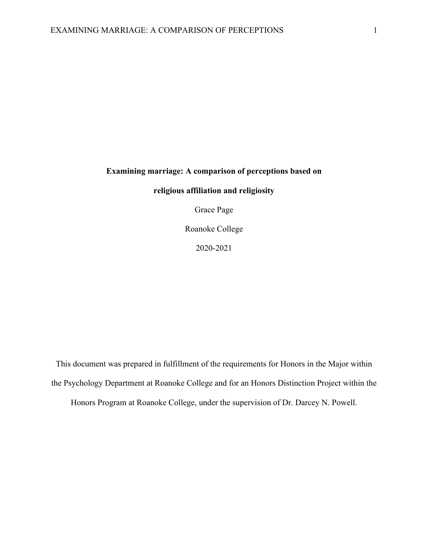### **Examining marriage: A comparison of perceptions based on**

### **religious affiliation and religiosity**

Grace Page

Roanoke College

2020-2021

This document was prepared in fulfillment of the requirements for Honors in the Major within the Psychology Department at Roanoke College and for an Honors Distinction Project within the

Honors Program at Roanoke College, under the supervision of Dr. Darcey N. Powell.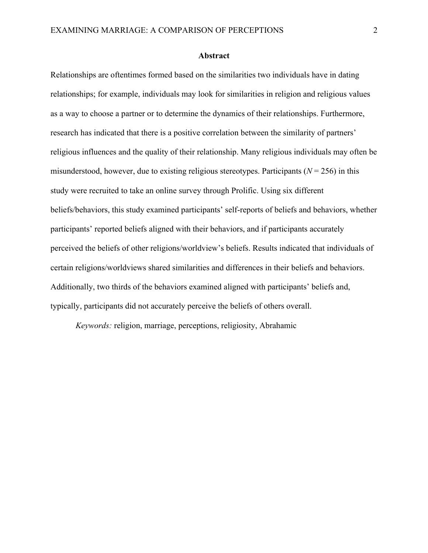### **Abstract**

Relationships are oftentimes formed based on the similarities two individuals have in dating relationships; for example, individuals may look for similarities in religion and religious values as a way to choose a partner or to determine the dynamics of their relationships. Furthermore, research has indicated that there is a positive correlation between the similarity of partners' religious influences and the quality of their relationship. Many religious individuals may often be misunderstood, however, due to existing religious stereotypes. Participants ( $N = 256$ ) in this study were recruited to take an online survey through Prolific. Using six different beliefs/behaviors, this study examined participants' self-reports of beliefs and behaviors, whether participants' reported beliefs aligned with their behaviors, and if participants accurately perceived the beliefs of other religions/worldview's beliefs. Results indicated that individuals of certain religions/worldviews shared similarities and differences in their beliefs and behaviors. Additionally, two thirds of the behaviors examined aligned with participants' beliefs and, typically, participants did not accurately perceive the beliefs of others overall.

*Keywords:* religion, marriage, perceptions, religiosity, Abrahamic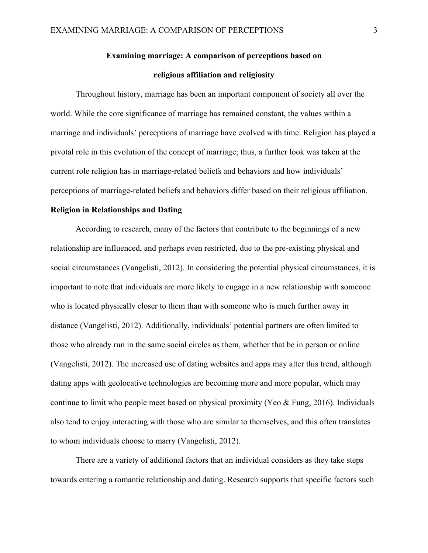## **Examining marriage: A comparison of perceptions based on religious affiliation and religiosity**

Throughout history, marriage has been an important component of society all over the world. While the core significance of marriage has remained constant, the values within a marriage and individuals' perceptions of marriage have evolved with time. Religion has played a pivotal role in this evolution of the concept of marriage; thus, a further look was taken at the current role religion has in marriage-related beliefs and behaviors and how individuals' perceptions of marriage-related beliefs and behaviors differ based on their religious affiliation.

### **Religion in Relationships and Dating**

According to research, many of the factors that contribute to the beginnings of a new relationship are influenced, and perhaps even restricted, due to the pre-existing physical and social circumstances (Vangelisti, 2012). In considering the potential physical circumstances, it is important to note that individuals are more likely to engage in a new relationship with someone who is located physically closer to them than with someone who is much further away in distance (Vangelisti, 2012). Additionally, individuals' potential partners are often limited to those who already run in the same social circles as them, whether that be in person or online (Vangelisti, 2012). The increased use of dating websites and apps may alter this trend, although dating apps with geolocative technologies are becoming more and more popular, which may continue to limit who people meet based on physical proximity (Yeo & Fung, 2016). Individuals also tend to enjoy interacting with those who are similar to themselves, and this often translates to whom individuals choose to marry (Vangelisti, 2012).

There are a variety of additional factors that an individual considers as they take steps towards entering a romantic relationship and dating. Research supports that specific factors such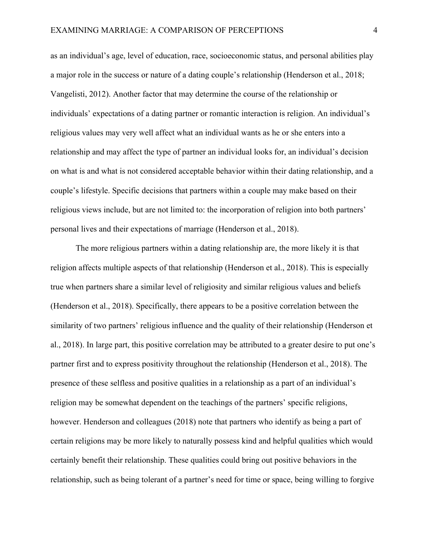as an individual's age, level of education, race, socioeconomic status, and personal abilities play a major role in the success or nature of a dating couple's relationship (Henderson et al., 2018; Vangelisti, 2012). Another factor that may determine the course of the relationship or individuals' expectations of a dating partner or romantic interaction is religion. An individual's religious values may very well affect what an individual wants as he or she enters into a relationship and may affect the type of partner an individual looks for, an individual's decision on what is and what is not considered acceptable behavior within their dating relationship, and a couple's lifestyle. Specific decisions that partners within a couple may make based on their religious views include, but are not limited to: the incorporation of religion into both partners' personal lives and their expectations of marriage (Henderson et al., 2018).

The more religious partners within a dating relationship are, the more likely it is that religion affects multiple aspects of that relationship (Henderson et al., 2018). This is especially true when partners share a similar level of religiosity and similar religious values and beliefs (Henderson et al., 2018). Specifically, there appears to be a positive correlation between the similarity of two partners' religious influence and the quality of their relationship (Henderson et al., 2018). In large part, this positive correlation may be attributed to a greater desire to put one's partner first and to express positivity throughout the relationship (Henderson et al., 2018). The presence of these selfless and positive qualities in a relationship as a part of an individual's religion may be somewhat dependent on the teachings of the partners' specific religions, however. Henderson and colleagues (2018) note that partners who identify as being a part of certain religions may be more likely to naturally possess kind and helpful qualities which would certainly benefit their relationship. These qualities could bring out positive behaviors in the relationship, such as being tolerant of a partner's need for time or space, being willing to forgive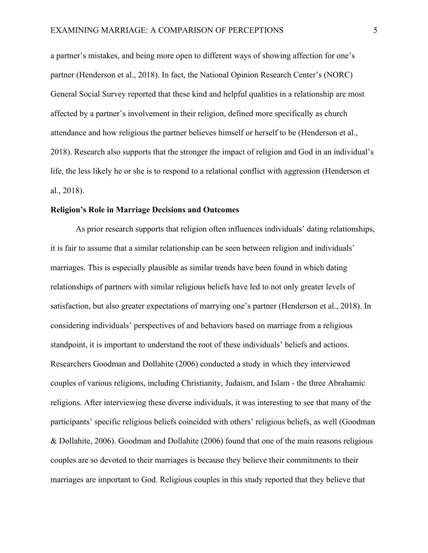a partner's mistakes, and being more open to different ways of showing affection for one's partner (Henderson et al., 2018). In fact, the National Opinion Research Center's (NORC) General Social Survey reported that these kind and helpful qualities in a relationship are most affected by a partner's involvement in their religion, defined more specifically as church attendance and how religious the partner believes himself or herself to be (Henderson et al., 2018). Research also supports that the stronger the impact of religion and God in an individual's life, the less likely he or she is to respond to a relational conflict with aggression (Henderson et al., 2018).

#### **Religion's Role in Marriage Decisions and Outcomes**

As prior research supports that religion often influences individuals' dating relationships, it is fair to assume that a similar relationship can be seen between religion and individuals' marriages. This is especially plausible as similar trends have been found in which dating relationships of partners with similar religious beliefs have led to not only greater levels of satisfaction, but also greater expectations of marrying one's partner (Henderson et al., 2018). In considering individuals' perspectives of and behaviors based on marriage from a religious standpoint, it is important to understand the root of these individuals' beliefs and actions. Researchers Goodman and Dollahite (2006) conducted a study in which they interviewed couples of various religions, including Christianity, Judaism, and Islam - the three Abrahamic religions. After interviewing these diverse individuals, it was interesting to see that many of the participants' specific religious beliefs coincided with others' religious beliefs, as well (Goodman & Dollahite, 2006). Goodman and Dollahite (2006) found that one of the main reasons religious couples are so devoted to their marriages is because they believe their commitments to their marriages are important to God. Religious couples in this study reported that they believe that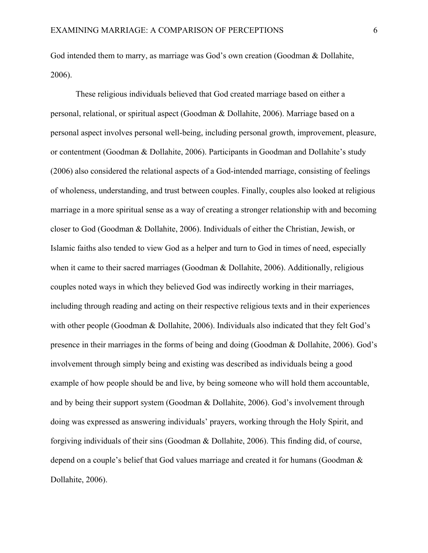God intended them to marry, as marriage was God's own creation (Goodman & Dollahite, 2006).

These religious individuals believed that God created marriage based on either a personal, relational, or spiritual aspect (Goodman & Dollahite, 2006). Marriage based on a personal aspect involves personal well-being, including personal growth, improvement, pleasure, or contentment (Goodman & Dollahite, 2006). Participants in Goodman and Dollahite's study (2006) also considered the relational aspects of a God-intended marriage, consisting of feelings of wholeness, understanding, and trust between couples. Finally, couples also looked at religious marriage in a more spiritual sense as a way of creating a stronger relationship with and becoming closer to God (Goodman & Dollahite, 2006). Individuals of either the Christian, Jewish, or Islamic faiths also tended to view God as a helper and turn to God in times of need, especially when it came to their sacred marriages (Goodman & Dollahite, 2006). Additionally, religious couples noted ways in which they believed God was indirectly working in their marriages, including through reading and acting on their respective religious texts and in their experiences with other people (Goodman & Dollahite, 2006). Individuals also indicated that they felt God's presence in their marriages in the forms of being and doing (Goodman & Dollahite, 2006). God's involvement through simply being and existing was described as individuals being a good example of how people should be and live, by being someone who will hold them accountable, and by being their support system (Goodman & Dollahite, 2006). God's involvement through doing was expressed as answering individuals' prayers, working through the Holy Spirit, and forgiving individuals of their sins (Goodman & Dollahite, 2006). This finding did, of course, depend on a couple's belief that God values marriage and created it for humans (Goodman & Dollahite, 2006).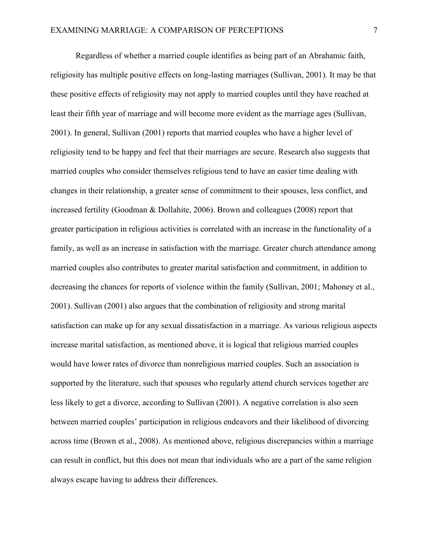Regardless of whether a married couple identifies as being part of an Abrahamic faith, religiosity has multiple positive effects on long-lasting marriages (Sullivan, 2001). It may be that these positive effects of religiosity may not apply to married couples until they have reached at least their fifth year of marriage and will become more evident as the marriage ages (Sullivan, 2001). In general, Sullivan (2001) reports that married couples who have a higher level of religiosity tend to be happy and feel that their marriages are secure. Research also suggests that married couples who consider themselves religious tend to have an easier time dealing with changes in their relationship, a greater sense of commitment to their spouses, less conflict, and increased fertility (Goodman & Dollahite, 2006). Brown and colleagues (2008) report that greater participation in religious activities is correlated with an increase in the functionality of a family, as well as an increase in satisfaction with the marriage. Greater church attendance among married couples also contributes to greater marital satisfaction and commitment, in addition to decreasing the chances for reports of violence within the family (Sullivan, 2001; Mahoney et al., 2001). Sullivan (2001) also argues that the combination of religiosity and strong marital satisfaction can make up for any sexual dissatisfaction in a marriage. As various religious aspects increase marital satisfaction, as mentioned above, it is logical that religious married couples would have lower rates of divorce than nonreligious married couples. Such an association is supported by the literature, such that spouses who regularly attend church services together are less likely to get a divorce, according to Sullivan (2001). A negative correlation is also seen between married couples' participation in religious endeavors and their likelihood of divorcing across time (Brown et al., 2008). As mentioned above, religious discrepancies within a marriage can result in conflict, but this does not mean that individuals who are a part of the same religion always escape having to address their differences.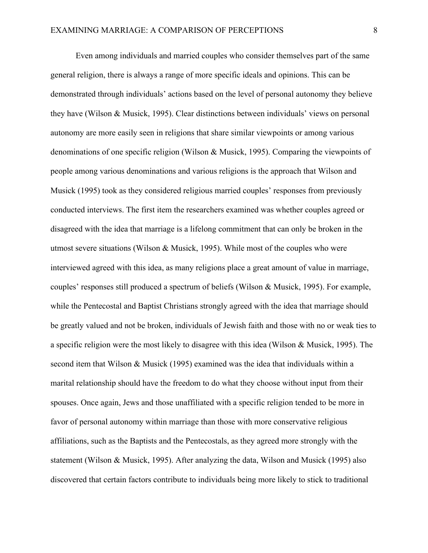Even among individuals and married couples who consider themselves part of the same general religion, there is always a range of more specific ideals and opinions. This can be demonstrated through individuals' actions based on the level of personal autonomy they believe they have (Wilson & Musick, 1995). Clear distinctions between individuals' views on personal autonomy are more easily seen in religions that share similar viewpoints or among various denominations of one specific religion (Wilson & Musick, 1995). Comparing the viewpoints of people among various denominations and various religions is the approach that Wilson and Musick (1995) took as they considered religious married couples' responses from previously conducted interviews. The first item the researchers examined was whether couples agreed or disagreed with the idea that marriage is a lifelong commitment that can only be broken in the utmost severe situations (Wilson & Musick, 1995). While most of the couples who were interviewed agreed with this idea, as many religions place a great amount of value in marriage, couples' responses still produced a spectrum of beliefs (Wilson & Musick, 1995). For example, while the Pentecostal and Baptist Christians strongly agreed with the idea that marriage should be greatly valued and not be broken, individuals of Jewish faith and those with no or weak ties to a specific religion were the most likely to disagree with this idea (Wilson & Musick, 1995). The second item that Wilson & Musick (1995) examined was the idea that individuals within a marital relationship should have the freedom to do what they choose without input from their spouses. Once again, Jews and those unaffiliated with a specific religion tended to be more in favor of personal autonomy within marriage than those with more conservative religious affiliations, such as the Baptists and the Pentecostals, as they agreed more strongly with the statement (Wilson & Musick, 1995). After analyzing the data, Wilson and Musick (1995) also discovered that certain factors contribute to individuals being more likely to stick to traditional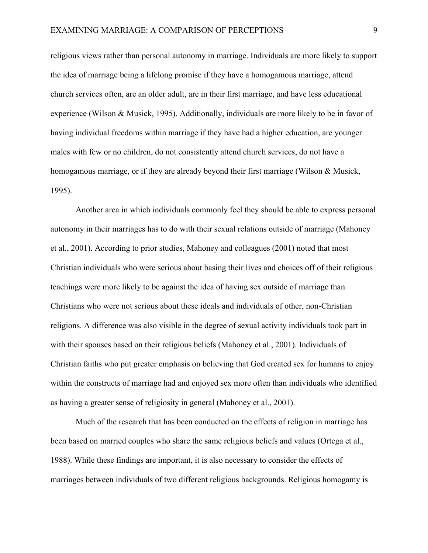religious views rather than personal autonomy in marriage. Individuals are more likely to support the idea of marriage being a lifelong promise if they have a homogamous marriage, attend church services often, are an older adult, are in their first marriage, and have less educational experience (Wilson & Musick, 1995). Additionally, individuals are more likely to be in favor of having individual freedoms within marriage if they have had a higher education, are younger males with few or no children, do not consistently attend church services, do not have a homogamous marriage, or if they are already beyond their first marriage (Wilson & Musick, 1995).

Another area in which individuals commonly feel they should be able to express personal autonomy in their marriages has to do with their sexual relations outside of marriage (Mahoney et al., 2001). According to prior studies, Mahoney and colleagues (2001) noted that most Christian individuals who were serious about basing their lives and choices off of their religious teachings were more likely to be against the idea of having sex outside of marriage than Christians who were not serious about these ideals and individuals of other, non-Christian religions. A difference was also visible in the degree of sexual activity individuals took part in with their spouses based on their religious beliefs (Mahoney et al., 2001). Individuals of Christian faiths who put greater emphasis on believing that God created sex for humans to enjoy within the constructs of marriage had and enjoyed sex more often than individuals who identified as having a greater sense of religiosity in general (Mahoney et al., 2001).

Much of the research that has been conducted on the effects of religion in marriage has been based on married couples who share the same religious beliefs and values (Ortega et al., 1988). While these findings are important, it is also necessary to consider the effects of marriages between individuals of two different religious backgrounds. Religious homogamy is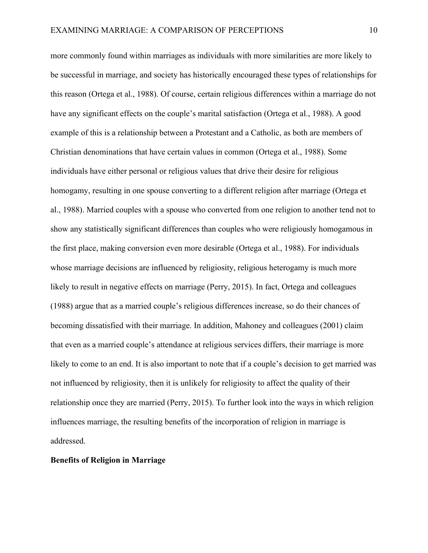more commonly found within marriages as individuals with more similarities are more likely to be successful in marriage, and society has historically encouraged these types of relationships for this reason (Ortega et al., 1988). Of course, certain religious differences within a marriage do not have any significant effects on the couple's marital satisfaction (Ortega et al., 1988). A good example of this is a relationship between a Protestant and a Catholic, as both are members of Christian denominations that have certain values in common (Ortega et al., 1988). Some individuals have either personal or religious values that drive their desire for religious homogamy, resulting in one spouse converting to a different religion after marriage (Ortega et al., 1988). Married couples with a spouse who converted from one religion to another tend not to show any statistically significant differences than couples who were religiously homogamous in the first place, making conversion even more desirable (Ortega et al., 1988). For individuals whose marriage decisions are influenced by religiosity, religious heterogamy is much more likely to result in negative effects on marriage (Perry, 2015). In fact, Ortega and colleagues (1988) argue that as a married couple's religious differences increase, so do their chances of becoming dissatisfied with their marriage. In addition, Mahoney and colleagues (2001) claim that even as a married couple's attendance at religious services differs, their marriage is more likely to come to an end. It is also important to note that if a couple's decision to get married was not influenced by religiosity, then it is unlikely for religiosity to affect the quality of their relationship once they are married (Perry, 2015). To further look into the ways in which religion influences marriage, the resulting benefits of the incorporation of religion in marriage is addressed.

### **Benefits of Religion in Marriage**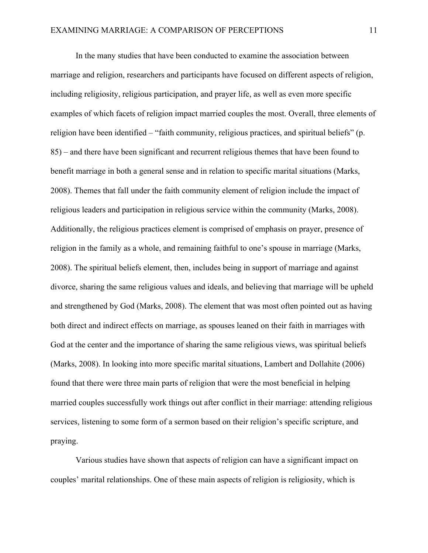In the many studies that have been conducted to examine the association between marriage and religion, researchers and participants have focused on different aspects of religion, including religiosity, religious participation, and prayer life, as well as even more specific examples of which facets of religion impact married couples the most. Overall, three elements of religion have been identified – "faith community, religious practices, and spiritual beliefs" (p. 85) – and there have been significant and recurrent religious themes that have been found to benefit marriage in both a general sense and in relation to specific marital situations (Marks, 2008). Themes that fall under the faith community element of religion include the impact of religious leaders and participation in religious service within the community (Marks, 2008). Additionally, the religious practices element is comprised of emphasis on prayer, presence of religion in the family as a whole, and remaining faithful to one's spouse in marriage (Marks, 2008). The spiritual beliefs element, then, includes being in support of marriage and against divorce, sharing the same religious values and ideals, and believing that marriage will be upheld and strengthened by God (Marks, 2008). The element that was most often pointed out as having both direct and indirect effects on marriage, as spouses leaned on their faith in marriages with God at the center and the importance of sharing the same religious views, was spiritual beliefs (Marks, 2008). In looking into more specific marital situations, Lambert and Dollahite (2006) found that there were three main parts of religion that were the most beneficial in helping married couples successfully work things out after conflict in their marriage: attending religious services, listening to some form of a sermon based on their religion's specific scripture, and praying.

Various studies have shown that aspects of religion can have a significant impact on couples' marital relationships. One of these main aspects of religion is religiosity, which is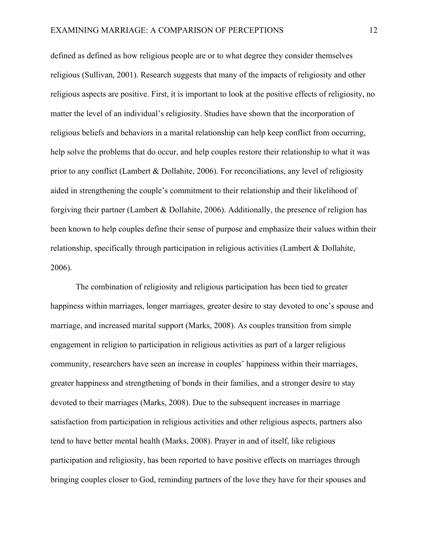defined as defined as how religious people are or to what degree they consider themselves religious (Sullivan, 2001). Research suggests that many of the impacts of religiosity and other religious aspects are positive. First, it is important to look at the positive effects of religiosity, no matter the level of an individual's religiosity. Studies have shown that the incorporation of religious beliefs and behaviors in a marital relationship can help keep conflict from occurring, help solve the problems that do occur, and help couples restore their relationship to what it was prior to any conflict (Lambert & Dollahite, 2006). For reconciliations, any level of religiosity aided in strengthening the couple's commitment to their relationship and their likelihood of forgiving their partner (Lambert & Dollahite, 2006). Additionally, the presence of religion has been known to help couples define their sense of purpose and emphasize their values within their relationship, specifically through participation in religious activities (Lambert & Dollahite, 2006).

The combination of religiosity and religious participation has been tied to greater happiness within marriages, longer marriages, greater desire to stay devoted to one's spouse and marriage, and increased marital support (Marks, 2008). As couples transition from simple engagement in religion to participation in religious activities as part of a larger religious community, researchers have seen an increase in couples' happiness within their marriages, greater happiness and strengthening of bonds in their families, and a stronger desire to stay devoted to their marriages (Marks, 2008). Due to the subsequent increases in marriage satisfaction from participation in religious activities and other religious aspects, partners also tend to have better mental health (Marks, 2008). Prayer in and of itself, like religious participation and religiosity, has been reported to have positive effects on marriages through bringing couples closer to God, reminding partners of the love they have for their spouses and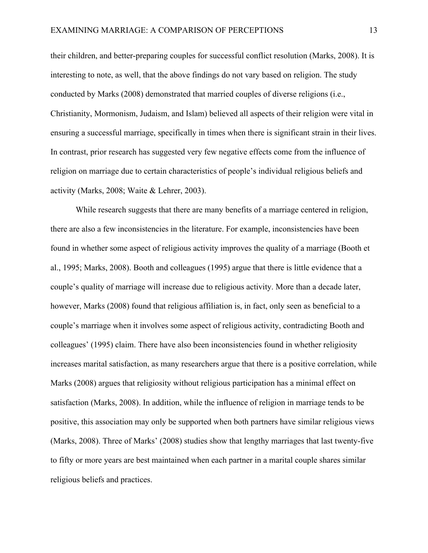their children, and better-preparing couples for successful conflict resolution (Marks, 2008). It is interesting to note, as well, that the above findings do not vary based on religion. The study conducted by Marks (2008) demonstrated that married couples of diverse religions (i.e., Christianity, Mormonism, Judaism, and Islam) believed all aspects of their religion were vital in ensuring a successful marriage, specifically in times when there is significant strain in their lives. In contrast, prior research has suggested very few negative effects come from the influence of religion on marriage due to certain characteristics of people's individual religious beliefs and activity (Marks, 2008; Waite & Lehrer, 2003).

While research suggests that there are many benefits of a marriage centered in religion, there are also a few inconsistencies in the literature. For example, inconsistencies have been found in whether some aspect of religious activity improves the quality of a marriage (Booth et al., 1995; Marks, 2008). Booth and colleagues (1995) argue that there is little evidence that a couple's quality of marriage will increase due to religious activity. More than a decade later, however, Marks (2008) found that religious affiliation is, in fact, only seen as beneficial to a couple's marriage when it involves some aspect of religious activity, contradicting Booth and colleagues' (1995) claim. There have also been inconsistencies found in whether religiosity increases marital satisfaction, as many researchers argue that there is a positive correlation, while Marks (2008) argues that religiosity without religious participation has a minimal effect on satisfaction (Marks, 2008). In addition, while the influence of religion in marriage tends to be positive, this association may only be supported when both partners have similar religious views (Marks, 2008). Three of Marks' (2008) studies show that lengthy marriages that last twenty-five to fifty or more years are best maintained when each partner in a marital couple shares similar religious beliefs and practices.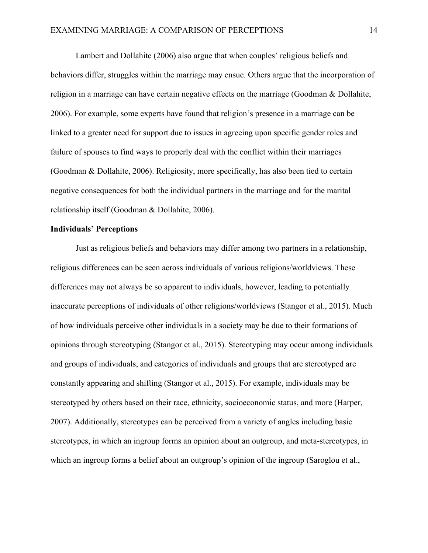Lambert and Dollahite (2006) also argue that when couples' religious beliefs and behaviors differ, struggles within the marriage may ensue. Others argue that the incorporation of religion in a marriage can have certain negative effects on the marriage (Goodman & Dollahite, 2006). For example, some experts have found that religion's presence in a marriage can be linked to a greater need for support due to issues in agreeing upon specific gender roles and failure of spouses to find ways to properly deal with the conflict within their marriages (Goodman & Dollahite, 2006). Religiosity, more specifically, has also been tied to certain negative consequences for both the individual partners in the marriage and for the marital relationship itself (Goodman & Dollahite, 2006).

### **Individuals' Perceptions**

Just as religious beliefs and behaviors may differ among two partners in a relationship, religious differences can be seen across individuals of various religions/worldviews. These differences may not always be so apparent to individuals, however, leading to potentially inaccurate perceptions of individuals of other religions/worldviews (Stangor et al., 2015). Much of how individuals perceive other individuals in a society may be due to their formations of opinions through stereotyping (Stangor et al., 2015). Stereotyping may occur among individuals and groups of individuals, and categories of individuals and groups that are stereotyped are constantly appearing and shifting (Stangor et al., 2015). For example, individuals may be stereotyped by others based on their race, ethnicity, socioeconomic status, and more (Harper, 2007). Additionally, stereotypes can be perceived from a variety of angles including basic stereotypes, in which an ingroup forms an opinion about an outgroup, and meta-stereotypes, in which an ingroup forms a belief about an outgroup's opinion of the ingroup (Saroglou et al.,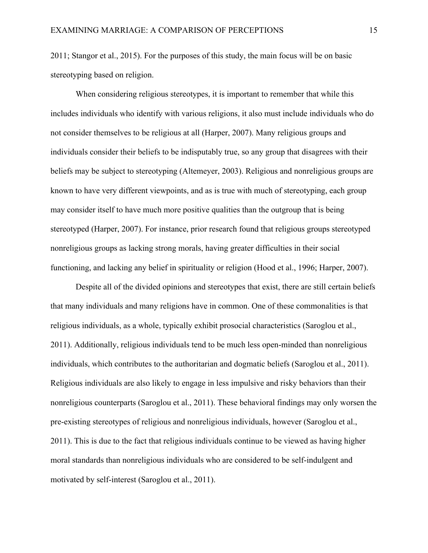2011; Stangor et al., 2015). For the purposes of this study, the main focus will be on basic stereotyping based on religion.

When considering religious stereotypes, it is important to remember that while this includes individuals who identify with various religions, it also must include individuals who do not consider themselves to be religious at all (Harper, 2007). Many religious groups and individuals consider their beliefs to be indisputably true, so any group that disagrees with their beliefs may be subject to stereotyping (Altemeyer, 2003). Religious and nonreligious groups are known to have very different viewpoints, and as is true with much of stereotyping, each group may consider itself to have much more positive qualities than the outgroup that is being stereotyped (Harper, 2007). For instance, prior research found that religious groups stereotyped nonreligious groups as lacking strong morals, having greater difficulties in their social functioning, and lacking any belief in spirituality or religion (Hood et al., 1996; Harper, 2007).

Despite all of the divided opinions and stereotypes that exist, there are still certain beliefs that many individuals and many religions have in common. One of these commonalities is that religious individuals, as a whole, typically exhibit prosocial characteristics (Saroglou et al., 2011). Additionally, religious individuals tend to be much less open-minded than nonreligious individuals, which contributes to the authoritarian and dogmatic beliefs (Saroglou et al., 2011). Religious individuals are also likely to engage in less impulsive and risky behaviors than their nonreligious counterparts (Saroglou et al., 2011). These behavioral findings may only worsen the pre-existing stereotypes of religious and nonreligious individuals, however (Saroglou et al., 2011). This is due to the fact that religious individuals continue to be viewed as having higher moral standards than nonreligious individuals who are considered to be self-indulgent and motivated by self-interest (Saroglou et al., 2011).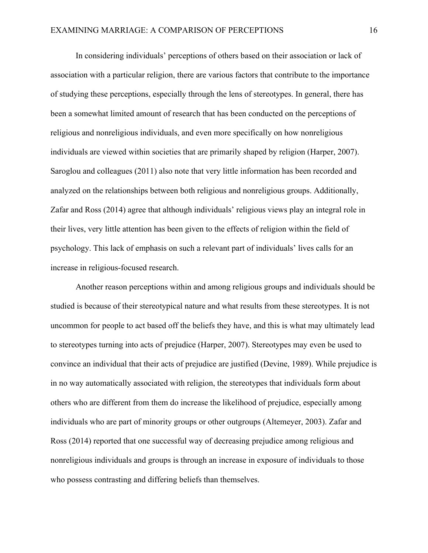In considering individuals' perceptions of others based on their association or lack of association with a particular religion, there are various factors that contribute to the importance of studying these perceptions, especially through the lens of stereotypes. In general, there has been a somewhat limited amount of research that has been conducted on the perceptions of religious and nonreligious individuals, and even more specifically on how nonreligious individuals are viewed within societies that are primarily shaped by religion (Harper, 2007). Saroglou and colleagues (2011) also note that very little information has been recorded and analyzed on the relationships between both religious and nonreligious groups. Additionally, Zafar and Ross (2014) agree that although individuals' religious views play an integral role in their lives, very little attention has been given to the effects of religion within the field of psychology. This lack of emphasis on such a relevant part of individuals' lives calls for an increase in religious-focused research.

Another reason perceptions within and among religious groups and individuals should be studied is because of their stereotypical nature and what results from these stereotypes. It is not uncommon for people to act based off the beliefs they have, and this is what may ultimately lead to stereotypes turning into acts of prejudice (Harper, 2007). Stereotypes may even be used to convince an individual that their acts of prejudice are justified (Devine, 1989). While prejudice is in no way automatically associated with religion, the stereotypes that individuals form about others who are different from them do increase the likelihood of prejudice, especially among individuals who are part of minority groups or other outgroups (Altemeyer, 2003). Zafar and Ross (2014) reported that one successful way of decreasing prejudice among religious and nonreligious individuals and groups is through an increase in exposure of individuals to those who possess contrasting and differing beliefs than themselves.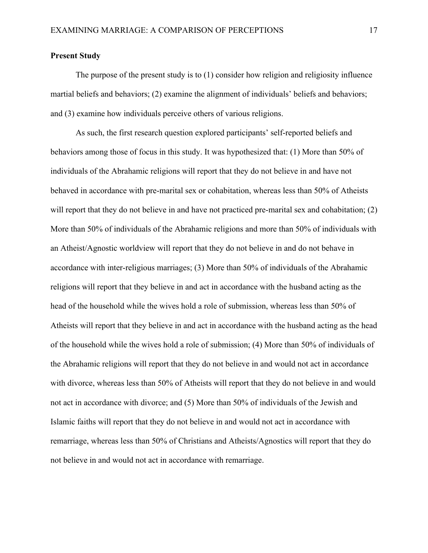### **Present Study**

The purpose of the present study is to (1) consider how religion and religiosity influence martial beliefs and behaviors; (2) examine the alignment of individuals' beliefs and behaviors; and (3) examine how individuals perceive others of various religions.

As such, the first research question explored participants' self-reported beliefs and behaviors among those of focus in this study. It was hypothesized that: (1) More than 50% of individuals of the Abrahamic religions will report that they do not believe in and have not behaved in accordance with pre-marital sex or cohabitation, whereas less than 50% of Atheists will report that they do not believe in and have not practiced pre-marital sex and cohabitation; (2) More than 50% of individuals of the Abrahamic religions and more than 50% of individuals with an Atheist/Agnostic worldview will report that they do not believe in and do not behave in accordance with inter-religious marriages; (3) More than 50% of individuals of the Abrahamic religions will report that they believe in and act in accordance with the husband acting as the head of the household while the wives hold a role of submission, whereas less than 50% of Atheists will report that they believe in and act in accordance with the husband acting as the head of the household while the wives hold a role of submission; (4) More than 50% of individuals of the Abrahamic religions will report that they do not believe in and would not act in accordance with divorce, whereas less than 50% of Atheists will report that they do not believe in and would not act in accordance with divorce; and (5) More than 50% of individuals of the Jewish and Islamic faiths will report that they do not believe in and would not act in accordance with remarriage, whereas less than 50% of Christians and Atheists/Agnostics will report that they do not believe in and would not act in accordance with remarriage.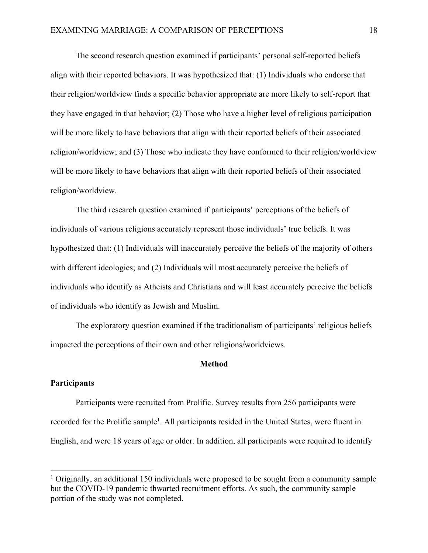The second research question examined if participants' personal self-reported beliefs align with their reported behaviors. It was hypothesized that: (1) Individuals who endorse that their religion/worldview finds a specific behavior appropriate are more likely to self-report that they have engaged in that behavior; (2) Those who have a higher level of religious participation will be more likely to have behaviors that align with their reported beliefs of their associated religion/worldview; and (3) Those who indicate they have conformed to their religion/worldview will be more likely to have behaviors that align with their reported beliefs of their associated religion/worldview.

The third research question examined if participants' perceptions of the beliefs of individuals of various religions accurately represent those individuals' true beliefs. It was hypothesized that: (1) Individuals will inaccurately perceive the beliefs of the majority of others with different ideologies; and (2) Individuals will most accurately perceive the beliefs of individuals who identify as Atheists and Christians and will least accurately perceive the beliefs of individuals who identify as Jewish and Muslim.

The exploratory question examined if the traditionalism of participants' religious beliefs impacted the perceptions of their own and other religions/worldviews.

### **Method**

#### **Participants**

Participants were recruited from Prolific. Survey results from 256 participants were recorded for the Prolific sample<sup>1</sup>. All participants resided in the United States, were fluent in English, and were 18 years of age or older. In addition, all participants were required to identify

<sup>&</sup>lt;sup>1</sup> Originally, an additional 150 individuals were proposed to be sought from a community sample but the COVID-19 pandemic thwarted recruitment efforts. As such, the community sample portion of the study was not completed.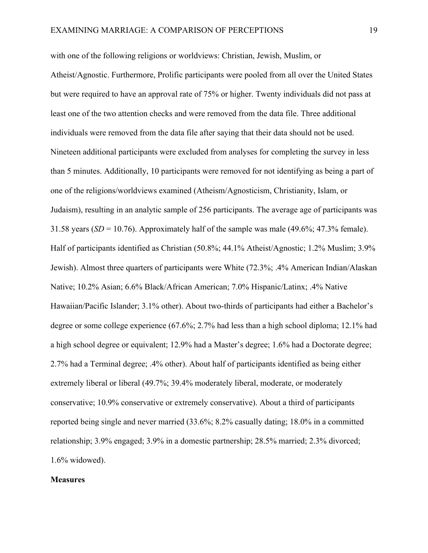with one of the following religions or worldviews: Christian, Jewish, Muslim, or Atheist/Agnostic. Furthermore, Prolific participants were pooled from all over the United States but were required to have an approval rate of 75% or higher. Twenty individuals did not pass at least one of the two attention checks and were removed from the data file. Three additional individuals were removed from the data file after saying that their data should not be used. Nineteen additional participants were excluded from analyses for completing the survey in less than 5 minutes. Additionally, 10 participants were removed for not identifying as being a part of one of the religions/worldviews examined (Atheism/Agnosticism, Christianity, Islam, or Judaism), resulting in an analytic sample of 256 participants. The average age of participants was 31.58 years  $(SD = 10.76)$ . Approximately half of the sample was male  $(49.6\%; 47.3\%$  female). Half of participants identified as Christian (50.8%; 44.1% Atheist/Agnostic; 1.2% Muslim; 3.9% Jewish). Almost three quarters of participants were White (72.3%; .4% American Indian/Alaskan Native; 10.2% Asian; 6.6% Black/African American; 7.0% Hispanic/Latinx; .4% Native Hawaiian/Pacific Islander; 3.1% other). About two-thirds of participants had either a Bachelor's degree or some college experience (67.6%; 2.7% had less than a high school diploma; 12.1% had a high school degree or equivalent; 12.9% had a Master's degree; 1.6% had a Doctorate degree; 2.7% had a Terminal degree; .4% other). About half of participants identified as being either extremely liberal or liberal (49.7%; 39.4% moderately liberal, moderate, or moderately conservative; 10.9% conservative or extremely conservative). About a third of participants reported being single and never married (33.6%; 8.2% casually dating; 18.0% in a committed relationship; 3.9% engaged; 3.9% in a domestic partnership; 28.5% married; 2.3% divorced; 1.6% widowed).

### **Measures**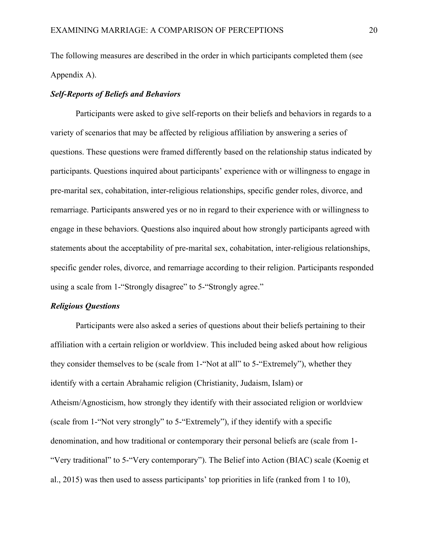The following measures are described in the order in which participants completed them (see Appendix A).

### *Self-Reports of Beliefs and Behaviors*

Participants were asked to give self-reports on their beliefs and behaviors in regards to a variety of scenarios that may be affected by religious affiliation by answering a series of questions. These questions were framed differently based on the relationship status indicated by participants. Questions inquired about participants' experience with or willingness to engage in pre-marital sex, cohabitation, inter-religious relationships, specific gender roles, divorce, and remarriage. Participants answered yes or no in regard to their experience with or willingness to engage in these behaviors. Questions also inquired about how strongly participants agreed with statements about the acceptability of pre-marital sex, cohabitation, inter-religious relationships, specific gender roles, divorce, and remarriage according to their religion. Participants responded using a scale from 1-"Strongly disagree" to 5-"Strongly agree."

### *Religious Questions*

Participants were also asked a series of questions about their beliefs pertaining to their affiliation with a certain religion or worldview. This included being asked about how religious they consider themselves to be (scale from 1-"Not at all" to 5-"Extremely"), whether they identify with a certain Abrahamic religion (Christianity, Judaism, Islam) or Atheism/Agnosticism, how strongly they identify with their associated religion or worldview (scale from 1-"Not very strongly" to 5-"Extremely"), if they identify with a specific denomination, and how traditional or contemporary their personal beliefs are (scale from 1- "Very traditional" to 5-"Very contemporary"). The Belief into Action (BIAC) scale (Koenig et al., 2015) was then used to assess participants' top priorities in life (ranked from 1 to 10),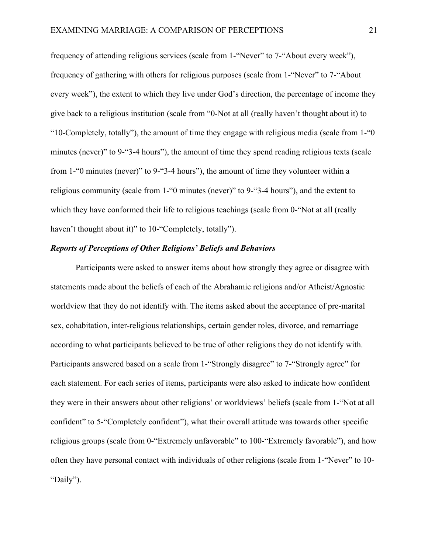frequency of attending religious services (scale from 1-"Never" to 7-"About every week"), frequency of gathering with others for religious purposes (scale from 1-"Never" to 7-"About every week"), the extent to which they live under God's direction, the percentage of income they give back to a religious institution (scale from "0-Not at all (really haven't thought about it) to "10-Completely, totally"), the amount of time they engage with religious media (scale from 1-"0 minutes (never)" to 9-"3-4 hours"), the amount of time they spend reading religious texts (scale from 1-"0 minutes (never)" to 9-"3-4 hours"), the amount of time they volunteer within a religious community (scale from 1-"0 minutes (never)" to 9-"3-4 hours"), and the extent to which they have conformed their life to religious teachings (scale from 0- "Not at all (really haven't thought about it)" to 10-"Completely, totally").

### *Reports of Perceptions of Other Religions' Beliefs and Behaviors*

Participants were asked to answer items about how strongly they agree or disagree with statements made about the beliefs of each of the Abrahamic religions and/or Atheist/Agnostic worldview that they do not identify with. The items asked about the acceptance of pre-marital sex, cohabitation, inter-religious relationships, certain gender roles, divorce, and remarriage according to what participants believed to be true of other religions they do not identify with. Participants answered based on a scale from 1-"Strongly disagree" to 7-"Strongly agree" for each statement. For each series of items, participants were also asked to indicate how confident they were in their answers about other religions' or worldviews' beliefs (scale from 1-"Not at all confident" to 5-"Completely confident"), what their overall attitude was towards other specific religious groups (scale from 0-"Extremely unfavorable" to 100-"Extremely favorable"), and how often they have personal contact with individuals of other religions (scale from 1-"Never" to 10- "Daily").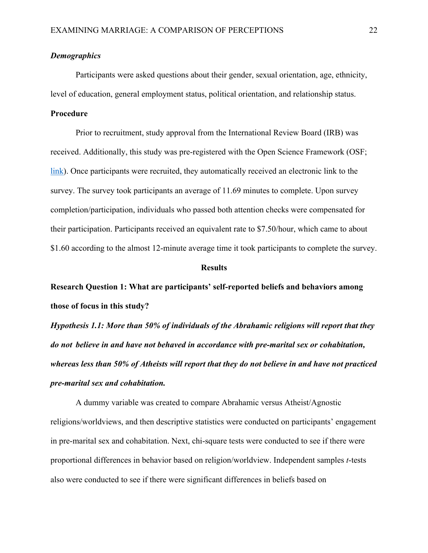### *Demographics*

Participants were asked questions about their gender, sexual orientation, age, ethnicity, level of education, general employment status, political orientation, and relationship status.

### **Procedure**

Prior to recruitment, study approval from the International Review Board (IRB) was received. Additionally, this study was pre-registered with the Open Science Framework (OSF; link). Once participants were recruited, they automatically received an electronic link to the survey. The survey took participants an average of 11.69 minutes to complete. Upon survey completion/participation, individuals who passed both attention checks were compensated for their participation. Participants received an equivalent rate to \$7.50/hour, which came to about \$1.60 according to the almost 12-minute average time it took participants to complete the survey.

#### **Results**

**Research Question 1: What are participants' self-reported beliefs and behaviors among those of focus in this study?**

*Hypothesis 1.1: More than 50% of individuals of the Abrahamic religions will report that they do not believe in and have not behaved in accordance with pre-marital sex or cohabitation, whereas less than 50% of Atheists will report that they do not believe in and have not practiced pre-marital sex and cohabitation.*

A dummy variable was created to compare Abrahamic versus Atheist/Agnostic religions/worldviews, and then descriptive statistics were conducted on participants' engagement in pre-marital sex and cohabitation. Next, chi-square tests were conducted to see if there were proportional differences in behavior based on religion/worldview. Independent samples *t*-tests also were conducted to see if there were significant differences in beliefs based on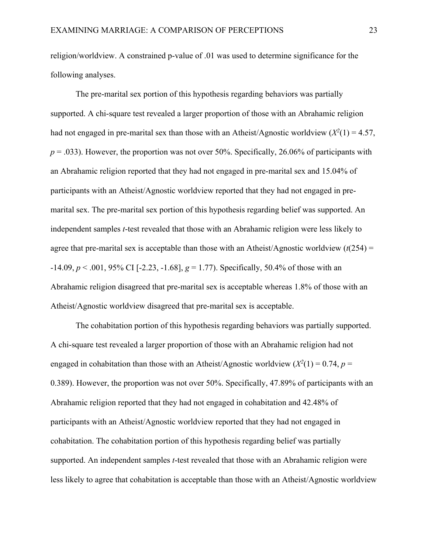religion/worldview. A constrained p-value of .01 was used to determine significance for the following analyses.

The pre-marital sex portion of this hypothesis regarding behaviors was partially supported. A chi-square test revealed a larger proportion of those with an Abrahamic religion had not engaged in pre-marital sex than those with an Atheist/Agnostic worldview  $(X^2(1) = 4.57)$ ,  $p = .033$ ). However, the proportion was not over 50%. Specifically, 26.06% of participants with an Abrahamic religion reported that they had not engaged in pre-marital sex and 15.04% of participants with an Atheist/Agnostic worldview reported that they had not engaged in premarital sex. The pre-marital sex portion of this hypothesis regarding belief was supported. An independent samples *t*-test revealed that those with an Abrahamic religion were less likely to agree that pre-marital sex is acceptable than those with an Atheist/Agnostic worldview  $(t(254) =$ -14.09, *p* < .001, 95% CI [-2.23, -1.68], *g* = 1.77). Specifically, 50.4% of those with an Abrahamic religion disagreed that pre-marital sex is acceptable whereas 1.8% of those with an Atheist/Agnostic worldview disagreed that pre-marital sex is acceptable.

The cohabitation portion of this hypothesis regarding behaviors was partially supported. A chi-square test revealed a larger proportion of those with an Abrahamic religion had not engaged in cohabitation than those with an Atheist/Agnostic worldview  $(X^2(1) = 0.74, p = 1$ 0.389). However, the proportion was not over 50%. Specifically, 47.89% of participants with an Abrahamic religion reported that they had not engaged in cohabitation and 42.48% of participants with an Atheist/Agnostic worldview reported that they had not engaged in cohabitation. The cohabitation portion of this hypothesis regarding belief was partially supported. An independent samples *t*-test revealed that those with an Abrahamic religion were less likely to agree that cohabitation is acceptable than those with an Atheist/Agnostic worldview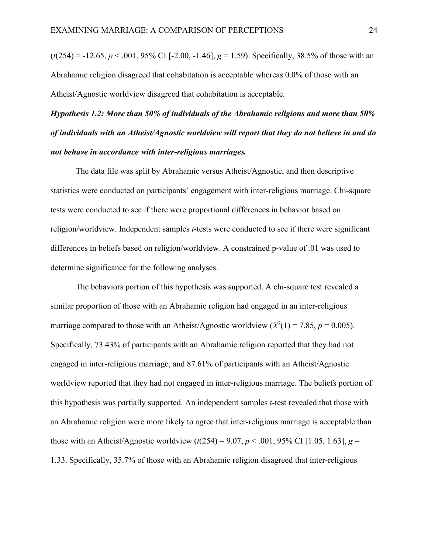$(t(254) = -12.65, p < .001, 95\% \text{ CI}$  [-2.00, -1.46],  $g = 1.59$ ). Specifically, 38.5% of those with an Abrahamic religion disagreed that cohabitation is acceptable whereas 0.0% of those with an Atheist/Agnostic worldview disagreed that cohabitation is acceptable.

# *Hypothesis 1.2: More than 50% of individuals of the Abrahamic religions and more than 50% of individuals with an Atheist/Agnostic worldview will report that they do not believe in and do not behave in accordance with inter-religious marriages.*

The data file was split by Abrahamic versus Atheist/Agnostic, and then descriptive statistics were conducted on participants' engagement with inter-religious marriage. Chi-square tests were conducted to see if there were proportional differences in behavior based on religion/worldview. Independent samples *t*-tests were conducted to see if there were significant differences in beliefs based on religion/worldview. A constrained p-value of .01 was used to determine significance for the following analyses.

The behaviors portion of this hypothesis was supported. A chi-square test revealed a similar proportion of those with an Abrahamic religion had engaged in an inter-religious marriage compared to those with an Atheist/Agnostic worldview  $(X^2(1) = 7.85, p = 0.005)$ . Specifically, 73.43% of participants with an Abrahamic religion reported that they had not engaged in inter-religious marriage, and 87.61% of participants with an Atheist/Agnostic worldview reported that they had not engaged in inter-religious marriage. The beliefs portion of this hypothesis was partially supported. An independent samples *t*-test revealed that those with an Abrahamic religion were more likely to agree that inter-religious marriage is acceptable than those with an Atheist/Agnostic worldview  $(t(254) = 9.07, p < .001, 95\%$  CI [1.05, 1.63],  $g =$ 1.33. Specifically, 35.7% of those with an Abrahamic religion disagreed that inter-religious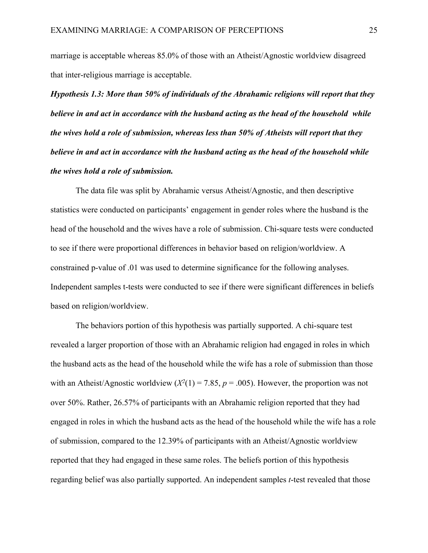marriage is acceptable whereas 85.0% of those with an Atheist/Agnostic worldview disagreed that inter-religious marriage is acceptable.

*Hypothesis 1.3: More than 50% of individuals of the Abrahamic religions will report that they believe in and act in accordance with the husband acting as the head of the household while the wives hold a role of submission, whereas less than 50% of Atheists will report that they believe in and act in accordance with the husband acting as the head of the household while the wives hold a role of submission.*

The data file was split by Abrahamic versus Atheist/Agnostic, and then descriptive statistics were conducted on participants' engagement in gender roles where the husband is the head of the household and the wives have a role of submission. Chi-square tests were conducted to see if there were proportional differences in behavior based on religion/worldview. A constrained p-value of .01 was used to determine significance for the following analyses. Independent samples t-tests were conducted to see if there were significant differences in beliefs based on religion/worldview.

The behaviors portion of this hypothesis was partially supported. A chi-square test revealed a larger proportion of those with an Abrahamic religion had engaged in roles in which the husband acts as the head of the household while the wife has a role of submission than those with an Atheist/Agnostic worldview  $(X^2(1) = 7.85, p = .005)$ . However, the proportion was not over 50%. Rather, 26.57% of participants with an Abrahamic religion reported that they had engaged in roles in which the husband acts as the head of the household while the wife has a role of submission, compared to the 12.39% of participants with an Atheist/Agnostic worldview reported that they had engaged in these same roles. The beliefs portion of this hypothesis regarding belief was also partially supported. An independent samples *t*-test revealed that those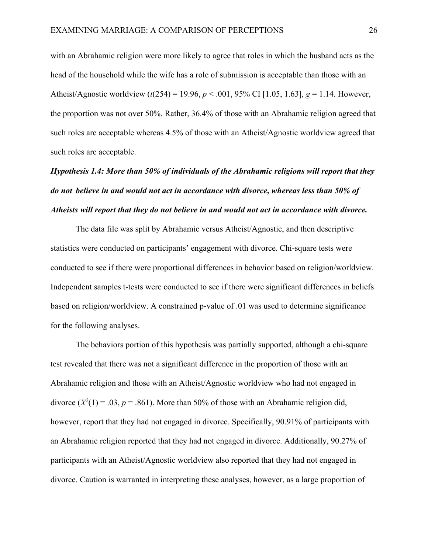with an Abrahamic religion were more likely to agree that roles in which the husband acts as the head of the household while the wife has a role of submission is acceptable than those with an Atheist/Agnostic worldview (*t*(254) = 19.96, *p* < .001, 95% CI [1.05, 1.63], *g* = 1.14. However, the proportion was not over 50%. Rather, 36.4% of those with an Abrahamic religion agreed that such roles are acceptable whereas 4.5% of those with an Atheist/Agnostic worldview agreed that such roles are acceptable.

# *Hypothesis 1.4: More than 50% of individuals of the Abrahamic religions will report that they do not believe in and would not act in accordance with divorce, whereas less than 50% of Atheists will report that they do not believe in and would not act in accordance with divorce.*

The data file was split by Abrahamic versus Atheist/Agnostic, and then descriptive statistics were conducted on participants' engagement with divorce. Chi-square tests were conducted to see if there were proportional differences in behavior based on religion/worldview. Independent samples t-tests were conducted to see if there were significant differences in beliefs based on religion/worldview. A constrained p-value of .01 was used to determine significance for the following analyses.

The behaviors portion of this hypothesis was partially supported, although a chi-square test revealed that there was not a significant difference in the proportion of those with an Abrahamic religion and those with an Atheist/Agnostic worldview who had not engaged in divorce  $(X^2(1) = .03, p = .861)$ . More than 50% of those with an Abrahamic religion did, however, report that they had not engaged in divorce. Specifically, 90.91% of participants with an Abrahamic religion reported that they had not engaged in divorce. Additionally, 90.27% of participants with an Atheist/Agnostic worldview also reported that they had not engaged in divorce. Caution is warranted in interpreting these analyses, however, as a large proportion of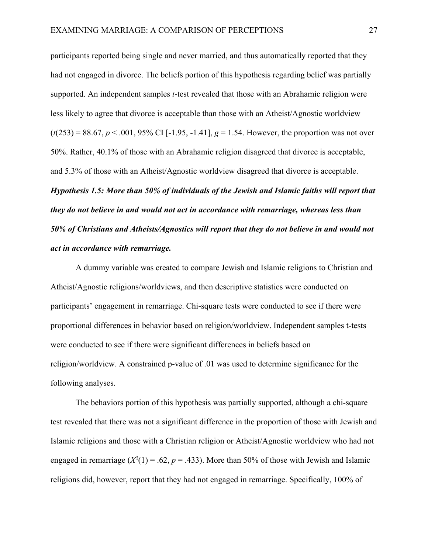participants reported being single and never married, and thus automatically reported that they had not engaged in divorce. The beliefs portion of this hypothesis regarding belief was partially supported. An independent samples *t*-test revealed that those with an Abrahamic religion were less likely to agree that divorce is acceptable than those with an Atheist/Agnostic worldview (*t*(253) = 88.67, *p* < .001, 95% CI [-1.95, -1.41], *g* = 1.54. However, the proportion was not over 50%. Rather, 40.1% of those with an Abrahamic religion disagreed that divorce is acceptable, and 5.3% of those with an Atheist/Agnostic worldview disagreed that divorce is acceptable. *Hypothesis 1.5: More than 50% of individuals of the Jewish and Islamic faiths will report that they do not believe in and would not act in accordance with remarriage, whereas less than 50% of Christians and Atheists/Agnostics will report that they do not believe in and would not act in accordance with remarriage.*

A dummy variable was created to compare Jewish and Islamic religions to Christian and Atheist/Agnostic religions/worldviews, and then descriptive statistics were conducted on participants' engagement in remarriage. Chi-square tests were conducted to see if there were proportional differences in behavior based on religion/worldview. Independent samples t-tests were conducted to see if there were significant differences in beliefs based on religion/worldview. A constrained p-value of .01 was used to determine significance for the following analyses.

The behaviors portion of this hypothesis was partially supported, although a chi-square test revealed that there was not a significant difference in the proportion of those with Jewish and Islamic religions and those with a Christian religion or Atheist/Agnostic worldview who had not engaged in remarriage  $(X^2(1) = .62, p = .433)$ . More than 50% of those with Jewish and Islamic religions did, however, report that they had not engaged in remarriage. Specifically, 100% of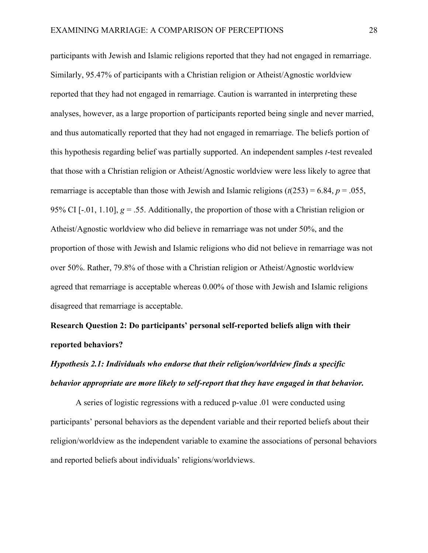participants with Jewish and Islamic religions reported that they had not engaged in remarriage. Similarly, 95.47% of participants with a Christian religion or Atheist/Agnostic worldview reported that they had not engaged in remarriage. Caution is warranted in interpreting these analyses, however, as a large proportion of participants reported being single and never married, and thus automatically reported that they had not engaged in remarriage. The beliefs portion of this hypothesis regarding belief was partially supported. An independent samples *t*-test revealed that those with a Christian religion or Atheist/Agnostic worldview were less likely to agree that remarriage is acceptable than those with Jewish and Islamic religions  $(t(253) = 6.84, p = .055,$ 95% CI [-.01, 1.10],  $g = 0.55$ . Additionally, the proportion of those with a Christian religion or Atheist/Agnostic worldview who did believe in remarriage was not under 50%, and the proportion of those with Jewish and Islamic religions who did not believe in remarriage was not over 50%. Rather, 79.8% of those with a Christian religion or Atheist/Agnostic worldview agreed that remarriage is acceptable whereas 0.00% of those with Jewish and Islamic religions disagreed that remarriage is acceptable.

**Research Question 2: Do participants' personal self-reported beliefs align with their reported behaviors?**

## *Hypothesis 2.1: Individuals who endorse that their religion/worldview finds a specific behavior appropriate are more likely to self-report that they have engaged in that behavior.*

A series of logistic regressions with a reduced p-value .01 were conducted using participants' personal behaviors as the dependent variable and their reported beliefs about their religion/worldview as the independent variable to examine the associations of personal behaviors and reported beliefs about individuals' religions/worldviews.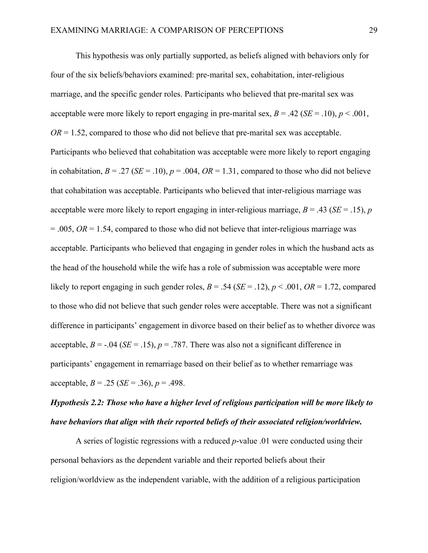This hypothesis was only partially supported, as beliefs aligned with behaviors only for four of the six beliefs/behaviors examined: pre-marital sex, cohabitation, inter-religious marriage, and the specific gender roles. Participants who believed that pre-marital sex was acceptable were more likely to report engaging in pre-marital sex,  $B = .42$  ( $SE = .10$ ),  $p < .001$ ,  $OR = 1.52$ , compared to those who did not believe that pre-marital sex was acceptable. Participants who believed that cohabitation was acceptable were more likely to report engaging in cohabitation,  $B = .27$  (*SE* = .10),  $p = .004$ ,  $OR = 1.31$ , compared to those who did not believe that cohabitation was acceptable. Participants who believed that inter-religious marriage was acceptable were more likely to report engaging in inter-religious marriage,  $B = .43$  ( $SE = .15$ ), *p* = .005, *OR* = 1.54, compared to those who did not believe that inter-religious marriage was acceptable. Participants who believed that engaging in gender roles in which the husband acts as the head of the household while the wife has a role of submission was acceptable were more likely to report engaging in such gender roles,  $B = .54$  (*SE* = .12),  $p < .001$ ,  $OR = 1.72$ , compared to those who did not believe that such gender roles were acceptable. There was not a significant difference in participants' engagement in divorce based on their belief as to whether divorce was acceptable,  $B = -0.04$  (*SE* = .15),  $p = .787$ . There was also not a significant difference in participants' engagement in remarriage based on their belief as to whether remarriage was acceptable,  $B = .25$  (*SE* = .36),  $p = .498$ .

## *Hypothesis 2.2: Those who have a higher level of religious participation will be more likely to have behaviors that align with their reported beliefs of their associated religion/worldview.*

A series of logistic regressions with a reduced *p*-value .01 were conducted using their personal behaviors as the dependent variable and their reported beliefs about their religion/worldview as the independent variable, with the addition of a religious participation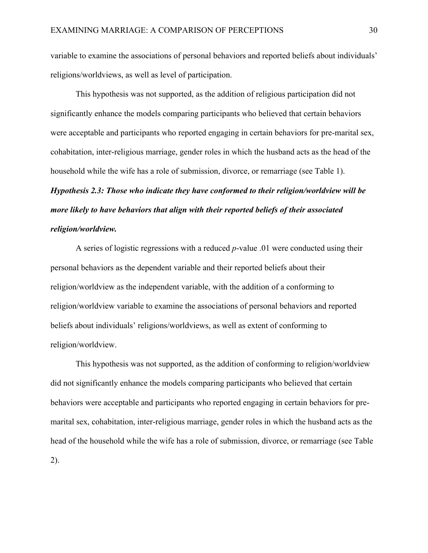variable to examine the associations of personal behaviors and reported beliefs about individuals' religions/worldviews, as well as level of participation.

This hypothesis was not supported, as the addition of religious participation did not significantly enhance the models comparing participants who believed that certain behaviors were acceptable and participants who reported engaging in certain behaviors for pre-marital sex, cohabitation, inter-religious marriage, gender roles in which the husband acts as the head of the household while the wife has a role of submission, divorce, or remarriage (see Table 1).

*Hypothesis 2.3: Those who indicate they have conformed to their religion/worldview will be more likely to have behaviors that align with their reported beliefs of their associated religion/worldview.*

A series of logistic regressions with a reduced *p*-value .01 were conducted using their personal behaviors as the dependent variable and their reported beliefs about their religion/worldview as the independent variable, with the addition of a conforming to religion/worldview variable to examine the associations of personal behaviors and reported beliefs about individuals' religions/worldviews, as well as extent of conforming to religion/worldview.

This hypothesis was not supported, as the addition of conforming to religion/worldview did not significantly enhance the models comparing participants who believed that certain behaviors were acceptable and participants who reported engaging in certain behaviors for premarital sex, cohabitation, inter-religious marriage, gender roles in which the husband acts as the head of the household while the wife has a role of submission, divorce, or remarriage (see Table 2).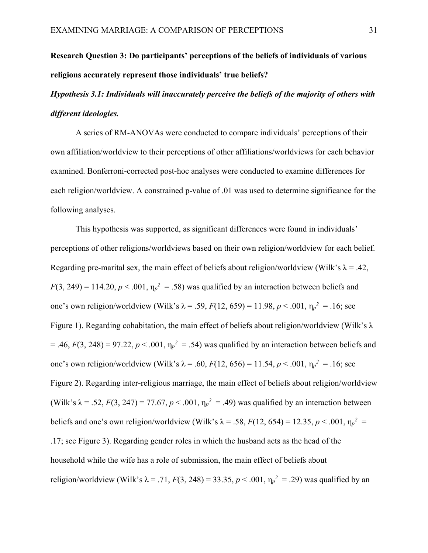## **Research Question 3: Do participants' perceptions of the beliefs of individuals of various religions accurately represent those individuals' true beliefs?**

## *Hypothesis 3.1: Individuals will inaccurately perceive the beliefs of the majority of others with different ideologies.*

A series of RM-ANOVAs were conducted to compare individuals' perceptions of their own affiliation/worldview to their perceptions of other affiliations/worldviews for each behavior examined. Bonferroni-corrected post-hoc analyses were conducted to examine differences for each religion/worldview. A constrained p-value of .01 was used to determine significance for the following analyses.

This hypothesis was supported, as significant differences were found in individuals' perceptions of other religions/worldviews based on their own religion/worldview for each belief. Regarding pre-marital sex, the main effect of beliefs about religion/worldview (Wilk's  $\lambda = .42$ ,  $F(3, 249) = 114.20, p < .001, \eta_p^2 = .58$ ) was qualified by an interaction between beliefs and one's own religion/worldview (Wilk's λ = .59,  $F(12, 659) = 11.98$ ,  $p < .001$ ,  $η<sub>p</sub><sup>2</sup> = .16$ ; see Figure 1). Regarding cohabitation, the main effect of beliefs about religion/worldview (Wilk's λ  $=$  .46,  $F(3, 248) = 97.22$ ,  $p < .001$ ,  $\eta_p^2 = .54$ ) was qualified by an interaction between beliefs and one's own religion/worldview (Wilk's λ = .60,  $F(12, 656) = 11.54, p < .001, \eta_p^2 = .16$ ; see Figure 2). Regarding inter-religious marriage, the main effect of beliefs about religion/worldview (Wilk's  $\lambda = .52$ ,  $F(3, 247) = 77.67$ ,  $p < .001$ ,  $\eta_p^2 = .49$ ) was qualified by an interaction between beliefs and one's own religion/worldview (Wilk's  $\lambda = .58$ ,  $F(12, 654) = 12.35$ ,  $p < .001$ ,  $\eta_p^2 =$ .17; see Figure 3). Regarding gender roles in which the husband acts as the head of the household while the wife has a role of submission, the main effect of beliefs about religion/worldview (Wilk's  $\lambda = .71$ ,  $F(3, 248) = 33.35$ ,  $p < .001$ ,  $\eta_p^2 = .29$ ) was qualified by an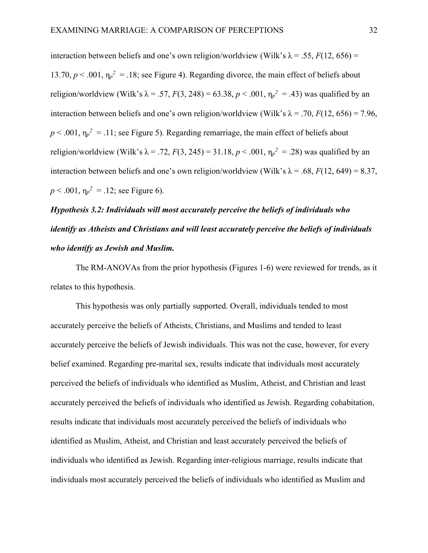interaction between beliefs and one's own religion/worldview (Wilk's  $\lambda = .55$ ,  $F(12, 656) =$ 13.70,  $p < .001$ ,  $\eta_p^2 = .18$ ; see Figure 4). Regarding divorce, the main effect of beliefs about religion/worldview (Wilk's  $\lambda = .57$ ,  $F(3, 248) = 63.38$ ,  $p < .001$ ,  $\eta_p^2 = .43$ ) was qualified by an interaction between beliefs and one's own religion/worldview (Wilk's  $\lambda = .70$ ,  $F(12, 656) = 7.96$ ,  $p < .001$ ,  $\eta_p^2 = .11$ ; see Figure 5). Regarding remarriage, the main effect of beliefs about religion/worldview (Wilk's  $\lambda = .72$ ,  $F(3, 245) = 31.18$ ,  $p < .001$ ,  $\eta_p^2 = .28$ ) was qualified by an interaction between beliefs and one's own religion/worldview (Wilk's  $\lambda = .68$ ,  $F(12, 649) = 8.37$ ,  $p < .001$ ,  $\eta_p^2 = .12$ ; see Figure 6).

# *Hypothesis 3.2: Individuals will most accurately perceive the beliefs of individuals who identify as Atheists and Christians and will least accurately perceive the beliefs of individuals who identify as Jewish and Muslim.*

The RM-ANOVAs from the prior hypothesis (Figures 1-6) were reviewed for trends, as it relates to this hypothesis.

This hypothesis was only partially supported. Overall, individuals tended to most accurately perceive the beliefs of Atheists, Christians, and Muslims and tended to least accurately perceive the beliefs of Jewish individuals. This was not the case, however, for every belief examined. Regarding pre-marital sex, results indicate that individuals most accurately perceived the beliefs of individuals who identified as Muslim, Atheist, and Christian and least accurately perceived the beliefs of individuals who identified as Jewish. Regarding cohabitation, results indicate that individuals most accurately perceived the beliefs of individuals who identified as Muslim, Atheist, and Christian and least accurately perceived the beliefs of individuals who identified as Jewish. Regarding inter-religious marriage, results indicate that individuals most accurately perceived the beliefs of individuals who identified as Muslim and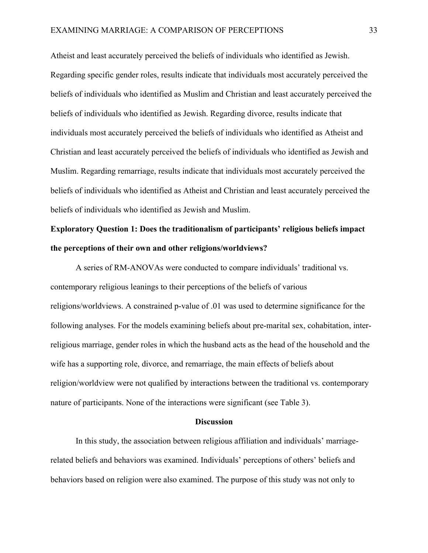Atheist and least accurately perceived the beliefs of individuals who identified as Jewish. Regarding specific gender roles, results indicate that individuals most accurately perceived the beliefs of individuals who identified as Muslim and Christian and least accurately perceived the beliefs of individuals who identified as Jewish. Regarding divorce, results indicate that individuals most accurately perceived the beliefs of individuals who identified as Atheist and Christian and least accurately perceived the beliefs of individuals who identified as Jewish and Muslim. Regarding remarriage, results indicate that individuals most accurately perceived the beliefs of individuals who identified as Atheist and Christian and least accurately perceived the beliefs of individuals who identified as Jewish and Muslim.

## **Exploratory Question 1: Does the traditionalism of participants' religious beliefs impact the perceptions of their own and other religions/worldviews?**

A series of RM-ANOVAs were conducted to compare individuals' traditional vs. contemporary religious leanings to their perceptions of the beliefs of various religions/worldviews. A constrained p-value of .01 was used to determine significance for the following analyses. For the models examining beliefs about pre-marital sex, cohabitation, interreligious marriage, gender roles in which the husband acts as the head of the household and the wife has a supporting role, divorce, and remarriage, the main effects of beliefs about religion/worldview were not qualified by interactions between the traditional vs. contemporary nature of participants. None of the interactions were significant (see Table 3).

#### **Discussion**

In this study, the association between religious affiliation and individuals' marriagerelated beliefs and behaviors was examined. Individuals' perceptions of others' beliefs and behaviors based on religion were also examined. The purpose of this study was not only to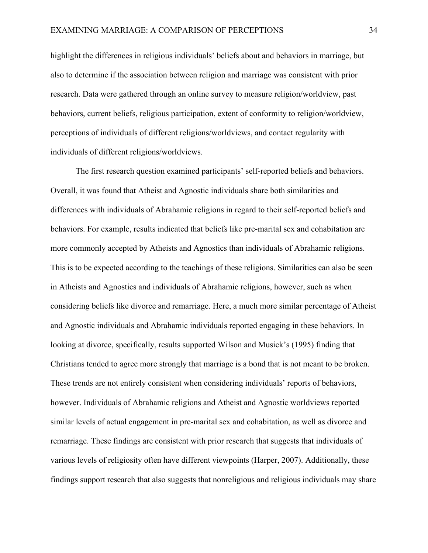highlight the differences in religious individuals' beliefs about and behaviors in marriage, but also to determine if the association between religion and marriage was consistent with prior research. Data were gathered through an online survey to measure religion/worldview, past behaviors, current beliefs, religious participation, extent of conformity to religion/worldview, perceptions of individuals of different religions/worldviews, and contact regularity with individuals of different religions/worldviews.

The first research question examined participants' self-reported beliefs and behaviors. Overall, it was found that Atheist and Agnostic individuals share both similarities and differences with individuals of Abrahamic religions in regard to their self-reported beliefs and behaviors. For example, results indicated that beliefs like pre-marital sex and cohabitation are more commonly accepted by Atheists and Agnostics than individuals of Abrahamic religions. This is to be expected according to the teachings of these religions. Similarities can also be seen in Atheists and Agnostics and individuals of Abrahamic religions, however, such as when considering beliefs like divorce and remarriage. Here, a much more similar percentage of Atheist and Agnostic individuals and Abrahamic individuals reported engaging in these behaviors. In looking at divorce, specifically, results supported Wilson and Musick's (1995) finding that Christians tended to agree more strongly that marriage is a bond that is not meant to be broken. These trends are not entirely consistent when considering individuals' reports of behaviors, however. Individuals of Abrahamic religions and Atheist and Agnostic worldviews reported similar levels of actual engagement in pre-marital sex and cohabitation, as well as divorce and remarriage. These findings are consistent with prior research that suggests that individuals of various levels of religiosity often have different viewpoints (Harper, 2007). Additionally, these findings support research that also suggests that nonreligious and religious individuals may share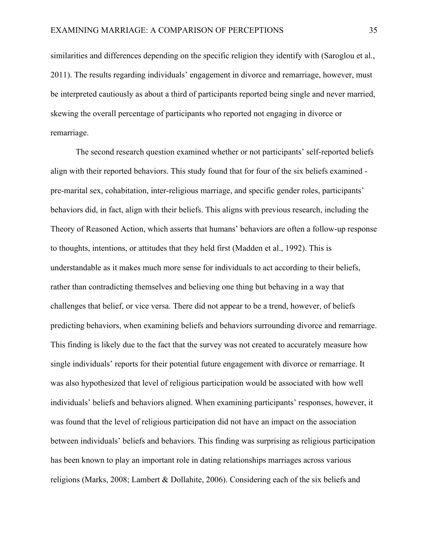similarities and differences depending on the specific religion they identify with (Saroglou et al., 2011). The results regarding individuals' engagement in divorce and remarriage, however, must be interpreted cautiously as about a third of participants reported being single and never married, skewing the overall percentage of participants who reported not engaging in divorce or remarriage.

The second research question examined whether or not participants' self-reported beliefs align with their reported behaviors. This study found that for four of the six beliefs examined pre-marital sex, cohabitation, inter-religious marriage, and specific gender roles, participants' behaviors did, in fact, align with their beliefs. This aligns with previous research, including the Theory of Reasoned Action, which asserts that humans' behaviors are often a follow-up response to thoughts, intentions, or attitudes that they held first (Madden et al., 1992). This is understandable as it makes much more sense for individuals to act according to their beliefs, rather than contradicting themselves and believing one thing but behaving in a way that challenges that belief, or vice versa. There did not appear to be a trend, however, of beliefs predicting behaviors, when examining beliefs and behaviors surrounding divorce and remarriage. This finding is likely due to the fact that the survey was not created to accurately measure how single individuals' reports for their potential future engagement with divorce or remarriage. It was also hypothesized that level of religious participation would be associated with how well individuals' beliefs and behaviors aligned. When examining participants' responses, however, it was found that the level of religious participation did not have an impact on the association between individuals' beliefs and behaviors. This finding was surprising as religious participation has been known to play an important role in dating relationships marriages across various religions (Marks, 2008; Lambert & Dollahite, 2006). Considering each of the six beliefs and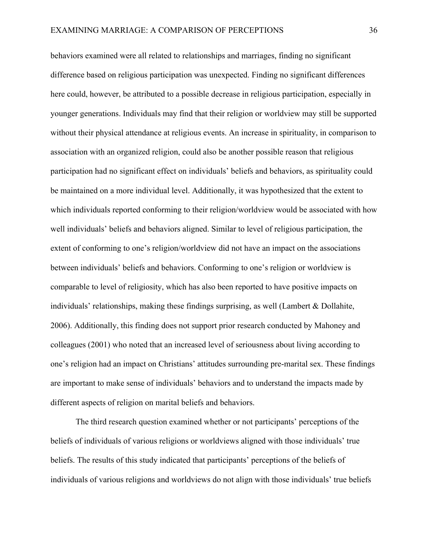behaviors examined were all related to relationships and marriages, finding no significant difference based on religious participation was unexpected. Finding no significant differences here could, however, be attributed to a possible decrease in religious participation, especially in younger generations. Individuals may find that their religion or worldview may still be supported without their physical attendance at religious events. An increase in spirituality, in comparison to association with an organized religion, could also be another possible reason that religious participation had no significant effect on individuals' beliefs and behaviors, as spirituality could be maintained on a more individual level. Additionally, it was hypothesized that the extent to which individuals reported conforming to their religion/worldview would be associated with how well individuals' beliefs and behaviors aligned. Similar to level of religious participation, the extent of conforming to one's religion/worldview did not have an impact on the associations between individuals' beliefs and behaviors. Conforming to one's religion or worldview is comparable to level of religiosity, which has also been reported to have positive impacts on individuals' relationships, making these findings surprising, as well (Lambert & Dollahite, 2006). Additionally, this finding does not support prior research conducted by Mahoney and colleagues (2001) who noted that an increased level of seriousness about living according to one's religion had an impact on Christians' attitudes surrounding pre-marital sex. These findings are important to make sense of individuals' behaviors and to understand the impacts made by different aspects of religion on marital beliefs and behaviors.

The third research question examined whether or not participants' perceptions of the beliefs of individuals of various religions or worldviews aligned with those individuals' true beliefs. The results of this study indicated that participants' perceptions of the beliefs of individuals of various religions and worldviews do not align with those individuals' true beliefs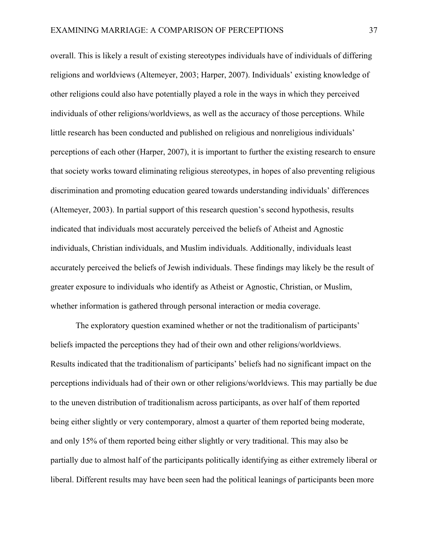overall. This is likely a result of existing stereotypes individuals have of individuals of differing religions and worldviews (Altemeyer, 2003; Harper, 2007). Individuals' existing knowledge of other religions could also have potentially played a role in the ways in which they perceived individuals of other religions/worldviews, as well as the accuracy of those perceptions. While little research has been conducted and published on religious and nonreligious individuals' perceptions of each other (Harper, 2007), it is important to further the existing research to ensure that society works toward eliminating religious stereotypes, in hopes of also preventing religious discrimination and promoting education geared towards understanding individuals' differences (Altemeyer, 2003). In partial support of this research question's second hypothesis, results indicated that individuals most accurately perceived the beliefs of Atheist and Agnostic individuals, Christian individuals, and Muslim individuals. Additionally, individuals least accurately perceived the beliefs of Jewish individuals. These findings may likely be the result of greater exposure to individuals who identify as Atheist or Agnostic, Christian, or Muslim, whether information is gathered through personal interaction or media coverage.

The exploratory question examined whether or not the traditionalism of participants' beliefs impacted the perceptions they had of their own and other religions/worldviews. Results indicated that the traditionalism of participants' beliefs had no significant impact on the perceptions individuals had of their own or other religions/worldviews. This may partially be due to the uneven distribution of traditionalism across participants, as over half of them reported being either slightly or very contemporary, almost a quarter of them reported being moderate, and only 15% of them reported being either slightly or very traditional. This may also be partially due to almost half of the participants politically identifying as either extremely liberal or liberal. Different results may have been seen had the political leanings of participants been more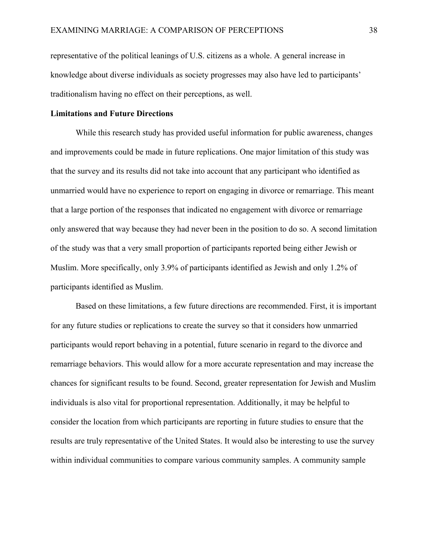representative of the political leanings of U.S. citizens as a whole. A general increase in knowledge about diverse individuals as society progresses may also have led to participants' traditionalism having no effect on their perceptions, as well.

### **Limitations and Future Directions**

While this research study has provided useful information for public awareness, changes and improvements could be made in future replications. One major limitation of this study was that the survey and its results did not take into account that any participant who identified as unmarried would have no experience to report on engaging in divorce or remarriage. This meant that a large portion of the responses that indicated no engagement with divorce or remarriage only answered that way because they had never been in the position to do so. A second limitation of the study was that a very small proportion of participants reported being either Jewish or Muslim. More specifically, only 3.9% of participants identified as Jewish and only 1.2% of participants identified as Muslim.

Based on these limitations, a few future directions are recommended. First, it is important for any future studies or replications to create the survey so that it considers how unmarried participants would report behaving in a potential, future scenario in regard to the divorce and remarriage behaviors. This would allow for a more accurate representation and may increase the chances for significant results to be found. Second, greater representation for Jewish and Muslim individuals is also vital for proportional representation. Additionally, it may be helpful to consider the location from which participants are reporting in future studies to ensure that the results are truly representative of the United States. It would also be interesting to use the survey within individual communities to compare various community samples. A community sample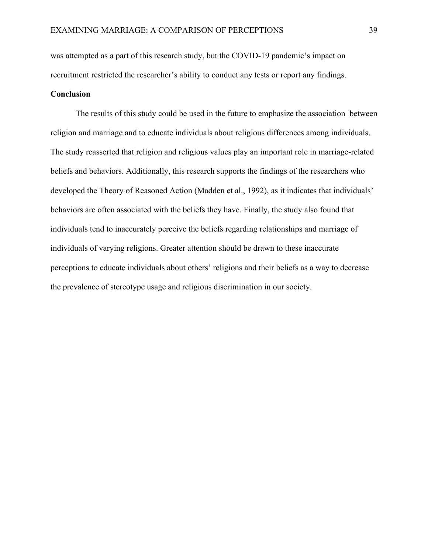was attempted as a part of this research study, but the COVID-19 pandemic's impact on recruitment restricted the researcher's ability to conduct any tests or report any findings.

### **Conclusion**

The results of this study could be used in the future to emphasize the association between religion and marriage and to educate individuals about religious differences among individuals. The study reasserted that religion and religious values play an important role in marriage-related beliefs and behaviors. Additionally, this research supports the findings of the researchers who developed the Theory of Reasoned Action (Madden et al., 1992), as it indicates that individuals' behaviors are often associated with the beliefs they have. Finally, the study also found that individuals tend to inaccurately perceive the beliefs regarding relationships and marriage of individuals of varying religions. Greater attention should be drawn to these inaccurate perceptions to educate individuals about others' religions and their beliefs as a way to decrease the prevalence of stereotype usage and religious discrimination in our society.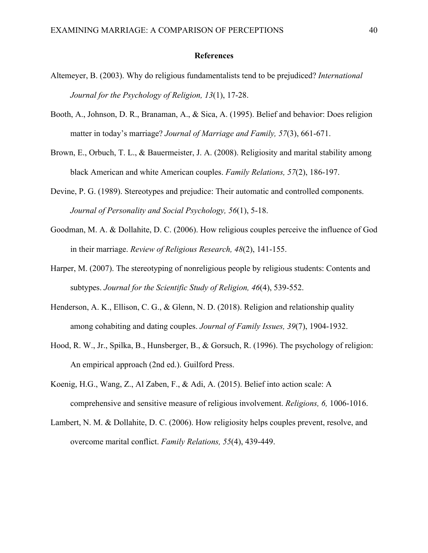### **References**

- Altemeyer, B. (2003). Why do religious fundamentalists tend to be prejudiced? *International Journal for the Psychology of Religion, 13*(1), 17-28.
- Booth, A., Johnson, D. R., Branaman, A., & Sica, A. (1995). Belief and behavior: Does religion matter in today's marriage? *Journal of Marriage and Family, 57*(3), 661-671.
- Brown, E., Orbuch, T. L., & Bauermeister, J. A. (2008). Religiosity and marital stability among black American and white American couples. *Family Relations, 57*(2), 186-197.
- Devine, P. G. (1989). Stereotypes and prejudice: Their automatic and controlled components. *Journal of Personality and Social Psychology, 56*(1), 5-18.
- Goodman, M. A. & Dollahite, D. C. (2006). How religious couples perceive the influence of God in their marriage. *Review of Religious Research, 48*(2), 141-155.
- Harper, M. (2007). The stereotyping of nonreligious people by religious students: Contents and subtypes. *Journal for the Scientific Study of Religion, 46*(4), 539-552.
- Henderson, A. K., Ellison, C. G., & Glenn, N. D. (2018). Religion and relationship quality among cohabiting and dating couples. *Journal of Family Issues, 39*(7), 1904-1932.
- Hood, R. W., Jr., Spilka, B., Hunsberger, B., & Gorsuch, R. (1996). The psychology of religion: An empirical approach (2nd ed.). Guilford Press.
- Koenig, H.G., Wang, Z., Al Zaben, F., & Adi, A. (2015). Belief into action scale: A comprehensive and sensitive measure of religious involvement. *Religions, 6,* 1006-1016.
- Lambert, N. M. & Dollahite, D. C. (2006). How religiosity helps couples prevent, resolve, and overcome marital conflict. *Family Relations, 55*(4), 439-449.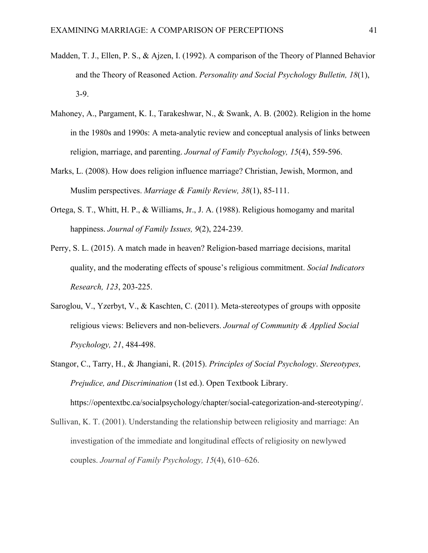- Madden, T. J., Ellen, P. S., & Ajzen, I. (1992). A comparison of the Theory of Planned Behavior and the Theory of Reasoned Action. *Personality and Social Psychology Bulletin, 18*(1), 3-9.
- Mahoney, A., Pargament, K. I., Tarakeshwar, N., & Swank, A. B. (2002). Religion in the home in the 1980s and 1990s: A meta-analytic review and conceptual analysis of links between religion, marriage, and parenting. *Journal of Family Psychology, 15*(4), 559-596.
- Marks, L. (2008). How does religion influence marriage? Christian, Jewish, Mormon, and Muslim perspectives. *Marriage & Family Review, 38*(1), 85-111.
- Ortega, S. T., Whitt, H. P., & Williams, Jr., J. A. (1988). Religious homogamy and marital happiness. *Journal of Family Issues, 9*(2), 224-239.
- Perry, S. L. (2015). A match made in heaven? Religion-based marriage decisions, marital quality, and the moderating effects of spouse's religious commitment. *Social Indicators Research, 123*, 203-225.
- Saroglou, V., Yzerbyt, V., & Kaschten, C. (2011). Meta-stereotypes of groups with opposite religious views: Believers and non-believers. *Journal of Community & Applied Social Psychology, 21*, 484-498.
- Stangor, C., Tarry, H., & Jhangiani, R. (2015). *Principles of Social Psychology*. *Stereotypes, Prejudice, and Discrimination* (1st ed.). Open Textbook Library.

https://opentextbc.ca/socialpsychology/chapter/social-categorization-and-stereotyping/.

Sullivan, K. T. (2001). Understanding the relationship between religiosity and marriage: An investigation of the immediate and longitudinal effects of religiosity on newlywed couples. *Journal of Family Psychology, 15*(4), 610–626.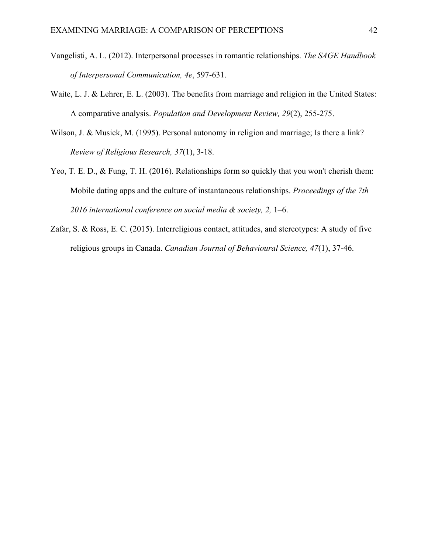- Vangelisti, A. L. (2012). Interpersonal processes in romantic relationships. *The SAGE Handbook of Interpersonal Communication, 4e*, 597-631.
- Waite, L. J. & Lehrer, E. L. (2003). The benefits from marriage and religion in the United States: A comparative analysis. *Population and Development Review, 29*(2), 255-275.
- Wilson, J. & Musick, M. (1995). Personal autonomy in religion and marriage; Is there a link? *Review of Religious Research, 37*(1), 3-18.
- Yeo, T. E. D., & Fung, T. H. (2016). Relationships form so quickly that you won't cherish them: Mobile dating apps and the culture of instantaneous relationships. *Proceedings of the 7th 2016 international conference on social media & society, 2,* 1–6.
- Zafar, S. & Ross, E. C. (2015). Interreligious contact, attitudes, and stereotypes: A study of five religious groups in Canada. *Canadian Journal of Behavioural Science, 47*(1), 37-46.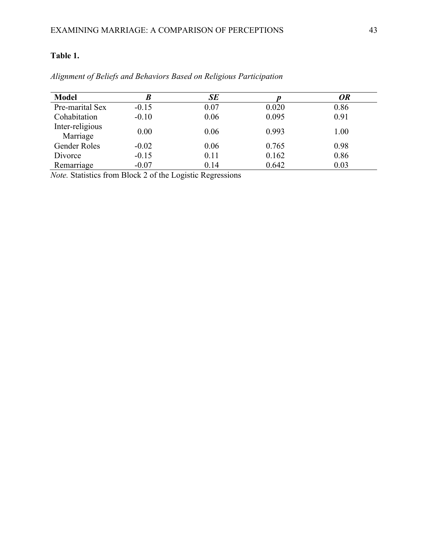### **Table 1.**

| <b>Model</b>                | B       | SE   |       | <b>OR</b> |
|-----------------------------|---------|------|-------|-----------|
| Pre-marital Sex             | $-0.15$ | 0.07 | 0.020 | 0.86      |
| Cohabitation                | $-0.10$ | 0.06 | 0.095 | 0.91      |
| Inter-religious<br>Marriage | 0.00    | 0.06 | 0.993 | 1.00      |
| <b>Gender Roles</b>         | $-0.02$ | 0.06 | 0.765 | 0.98      |
| Divorce                     | $-0.15$ | 0.11 | 0.162 | 0.86      |
| Remarriage                  | $-0.07$ | 0.14 | 0.642 | 0.03      |

*Alignment of Beliefs and Behaviors Based on Religious Participation*

*Note.* Statistics from Block 2 of the Logistic Regressions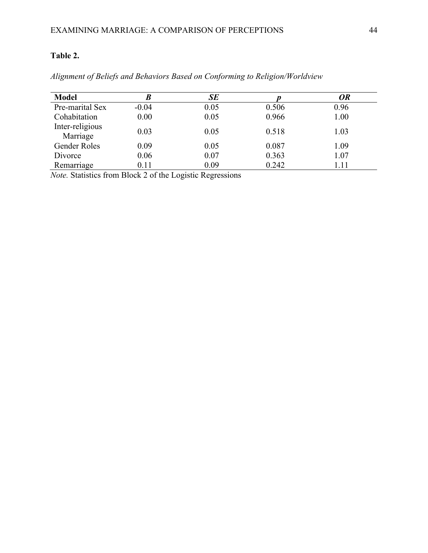### **Table 2.**

| <b>Model</b>                | B       | SE   |       | <b>OR</b> |
|-----------------------------|---------|------|-------|-----------|
| Pre-marital Sex             | $-0.04$ | 0.05 | 0.506 | 0.96      |
| Cohabitation                | 0.00    | 0.05 | 0.966 | 1.00      |
| Inter-religious<br>Marriage | 0.03    | 0.05 | 0.518 | 1.03      |
| Gender Roles                | 0.09    | 0.05 | 0.087 | 1.09      |
| Divorce                     | 0.06    | 0.07 | 0.363 | 1.07      |
| Remarriage                  | 0.11    | 0.09 | 0.242 | 1.11      |

*Alignment of Beliefs and Behaviors Based on Conforming to Religion/Worldview*

*Note.* Statistics from Block 2 of the Logistic Regressions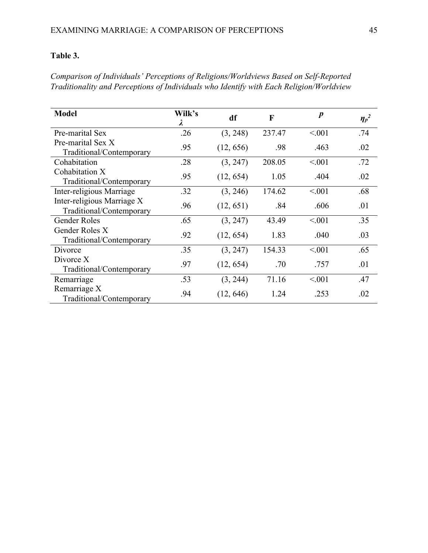### **Table 3.**

*Comparison of Individuals' Perceptions of Religions/Worldviews Based on Self-Reported Traditionality and Perceptions of Individuals who Identify with Each Religion/Worldview*

| <b>Model</b>                                           | Wilk's<br>$\lambda$ | df        | F      | $\boldsymbol{p}$ | $\eta_p^2$ |
|--------------------------------------------------------|---------------------|-----------|--------|------------------|------------|
| Pre-marital Sex                                        | .26                 | (3, 248)  | 237.47 | < 0.001          | .74        |
| Pre-marital Sex X<br>Traditional/Contemporary          | .95                 | (12, 656) | .98    | .463             | .02        |
| Cohabitation                                           | .28                 | (3, 247)  | 208.05 | < 0.001          | .72        |
| Cohabitation X<br>Traditional/Contemporary             | .95                 | (12, 654) | 1.05   | .404             | .02        |
| Inter-religious Marriage                               | .32                 | (3, 246)  | 174.62 | < 0.001          | .68        |
| Inter-religious Marriage X<br>Traditional/Contemporary | .96                 | (12, 651) | .84    | .606             | .01        |
| Gender Roles                                           | .65                 | (3, 247)  | 43.49  | < 0.001          | .35        |
| Gender Roles X<br>Traditional/Contemporary             | .92                 | (12, 654) | 1.83   | .040             | .03        |
| Divorce                                                | .35                 | (3, 247)  | 154.33 | < 0.001          | .65        |
| Divorce X<br>Traditional/Contemporary                  | .97                 | (12, 654) | .70    | .757             | .01        |
| Remarriage                                             | .53                 | (3, 244)  | 71.16  | < 0.001          | .47        |
| Remarriage X<br>Traditional/Contemporary               | .94                 | (12, 646) | 1.24   | .253             | .02        |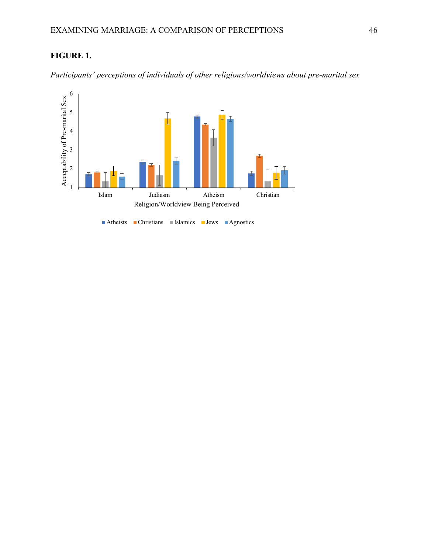



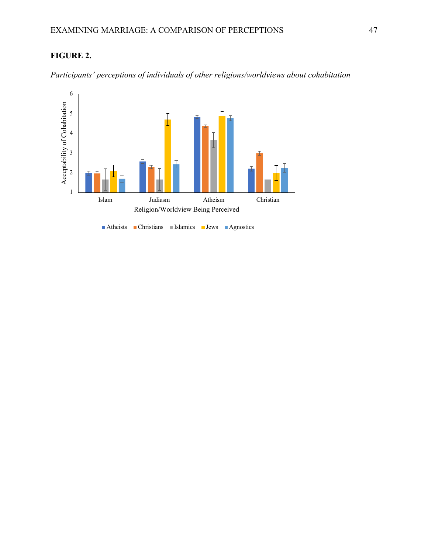## **FIGURE 2.**



*Participants' perceptions of individuals of other religions/worldviews about cohabitation*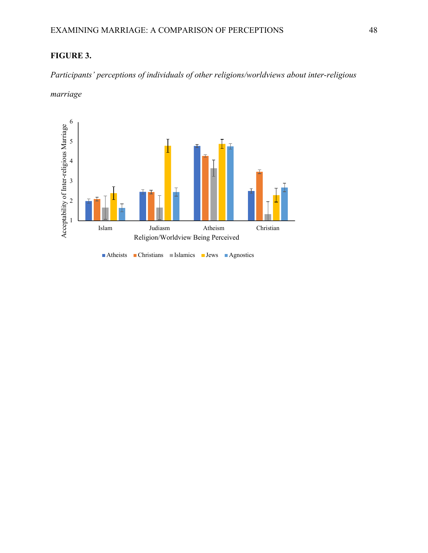### **FIGURE 3.**

*Participants' perceptions of individuals of other religions/worldviews about inter-religious* 

*marriage*

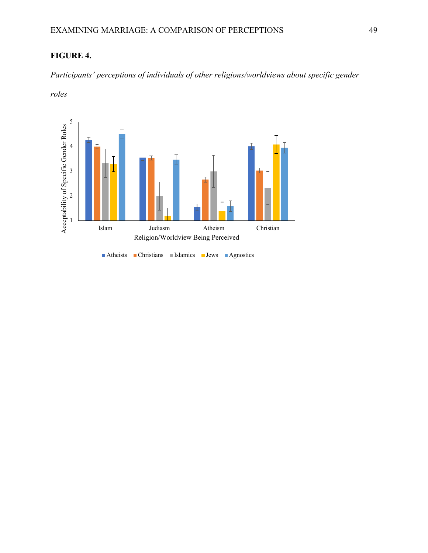### **FIGURE 4.**

*Participants' perceptions of individuals of other religions/worldviews about specific gender* 

*roles*

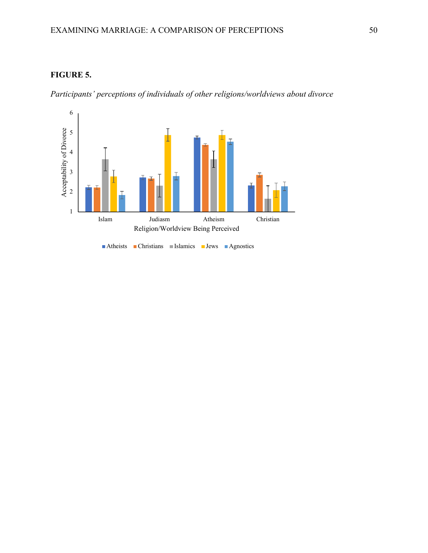### **FIGURE 5.**

*Participants' perceptions of individuals of other religions/worldviews about divorce*